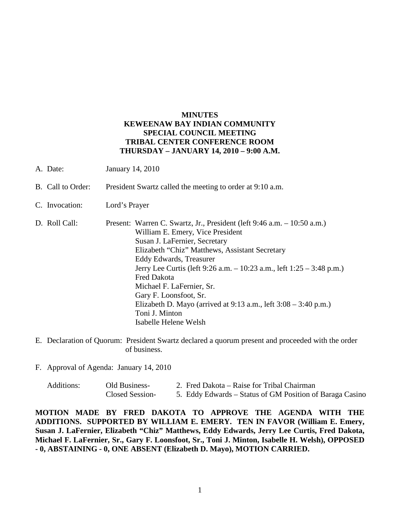## **MINUTES KEWEENAW BAY INDIAN COMMUNITY SPECIAL COUNCIL MEETING TRIBAL CENTER CONFERENCE ROOM THURSDAY – JANUARY 14, 2010 – 9:00 A.M.**

- A. Date: January 14, 2010
- B. Call to Order: President Swartz called the meeting to order at 9:10 a.m.
- C. Invocation: Lord's Prayer
- D. Roll Call: Present: Warren C. Swartz, Jr., President (left 9:46 a.m. 10:50 a.m.) William E. Emery, Vice President Susan J. LaFernier, Secretary Elizabeth "Chiz" Matthews, Assistant Secretary Eddy Edwards, Treasurer Jerry Lee Curtis (left 9:26 a.m. – 10:23 a.m., left 1:25 – 3:48 p.m.) Fred Dakota Michael F. LaFernier, Sr. Gary F. Loonsfoot, Sr. Elizabeth D. Mayo (arrived at  $9:13$  a.m., left  $3:08 - 3:40$  p.m.) Toni J. Minton Isabelle Helene Welsh
- E. Declaration of Quorum: President Swartz declared a quorum present and proceeded with the order of business.
- F. Approval of Agenda: January 14, 2010

| Additions: | Old Business-   | 2. Fred Dakota – Raise for Tribal Chairman               |
|------------|-----------------|----------------------------------------------------------|
|            | Closed Session- | 5. Eddy Edwards – Status of GM Position of Baraga Casino |

**MOTION MADE BY FRED DAKOTA TO APPROVE THE AGENDA WITH THE ADDITIONS. SUPPORTED BY WILLIAM E. EMERY. TEN IN FAVOR (William E. Emery, Susan J. LaFernier, Elizabeth "Chiz" Matthews, Eddy Edwards, Jerry Lee Curtis, Fred Dakota, Michael F. LaFernier, Sr., Gary F. Loonsfoot, Sr., Toni J. Minton, Isabelle H. Welsh), OPPOSED - 0, ABSTAINING - 0, ONE ABSENT (Elizabeth D. Mayo), MOTION CARRIED.**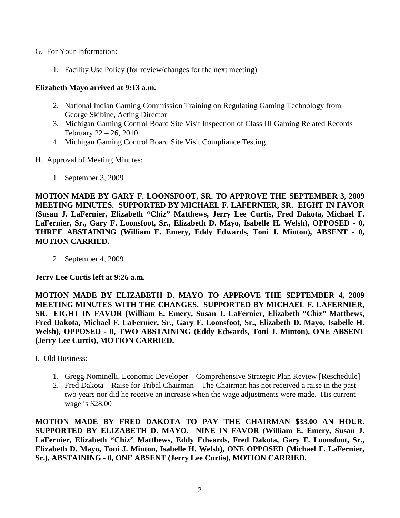- G. For Your Information:
	- 1. Facility Use Policy (for review/changes for the next meeting)

## **Elizabeth Mayo arrived at 9:13 a.m.**

- 2. National Indian Gaming Commission Training on Regulating Gaming Technology from George Skibine, Acting Director
- 3. Michigan Gaming Control Board Site Visit Inspection of Class III Gaming Related Records February 22 – 26, 2010
- 4. Michigan Gaming Control Board Site Visit Compliance Testing
- H. Approval of Meeting Minutes:
	- 1. September 3, 2009

**MOTION MADE BY GARY F. LOONSFOOT, SR. TO APPROVE THE SEPTEMBER 3, 2009 MEETING MINUTES. SUPPORTED BY MICHAEL F. LAFERNIER, SR. EIGHT IN FAVOR (Susan J. LaFernier, Elizabeth "Chiz" Matthews, Jerry Lee Curtis, Fred Dakota, Michael F. LaFernier, Sr., Gary F. Loonsfoot, Sr., Elizabeth D. Mayo, Isabelle H. Welsh), OPPOSED - 0, THREE ABSTAINING (William E. Emery, Eddy Edwards, Toni J. Minton), ABSENT - 0, MOTION CARRIED.**

2. September 4, 2009

**Jerry Lee Curtis left at 9:26 a.m.** 

**MOTION MADE BY ELIZABETH D. MAYO TO APPROVE THE SEPTEMBER 4, 2009 MEETING MINUTES WITH THE CHANGES. SUPPORTED BY MICHAEL F. LAFERNIER, SR. EIGHT IN FAVOR (William E. Emery, Susan J. LaFernier, Elizabeth "Chiz" Matthews, Fred Dakota, Michael F. LaFernier, Sr., Gary F. Loonsfoot, Sr., Elizabeth D. Mayo, Isabelle H. Welsh), OPPOSED - 0, TWO ABSTAINING (Eddy Edwards, Toni J. Minton), ONE ABSENT (Jerry Lee Curtis), MOTION CARRIED.**

- I. Old Business:
	- 1. Gregg Nominelli, Economic Developer Comprehensive Strategic Plan Review [Reschedule]
	- 2. Fred Dakota Raise for Tribal Chairman The Chairman has not received a raise in the past two years nor did he receive an increase when the wage adjustments were made. His current wage is \$28.00

**MOTION MADE BY FRED DAKOTA TO PAY THE CHAIRMAN \$33.00 AN HOUR. SUPPORTED BY ELIZABETH D. MAYO. NINE IN FAVOR (William E. Emery, Susan J. LaFernier, Elizabeth "Chiz" Matthews, Eddy Edwards, Fred Dakota, Gary F. Loonsfoot, Sr., Elizabeth D. Mayo, Toni J. Minton, Isabelle H. Welsh), ONE OPPOSED (Michael F. LaFernier, Sr.), ABSTAINING - 0, ONE ABSENT (Jerry Lee Curtis), MOTION CARRIED.**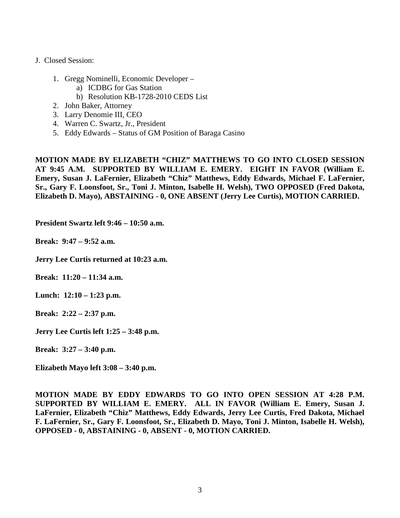- J. Closed Session:
	- 1. Gregg Nominelli, Economic Developer
		- a) ICDBG for Gas Station
		- b) Resolution KB-1728-2010 CEDS List
	- 2. John Baker, Attorney
	- 3. Larry Denomie III, CEO
	- 4. Warren C. Swartz, Jr., President
	- 5. Eddy Edwards Status of GM Position of Baraga Casino

**MOTION MADE BY ELIZABETH "CHIZ" MATTHEWS TO GO INTO CLOSED SESSION AT 9:45 A.M. SUPPORTED BY WILLIAM E. EMERY. EIGHT IN FAVOR (William E. Emery, Susan J. LaFernier, Elizabeth "Chiz" Matthews, Eddy Edwards, Michael F. LaFernier, Sr., Gary F. Loonsfoot, Sr., Toni J. Minton, Isabelle H. Welsh), TWO OPPOSED (Fred Dakota, Elizabeth D. Mayo), ABSTAINING - 0, ONE ABSENT (Jerry Lee Curtis), MOTION CARRIED.**

**President Swartz left 9:46 – 10:50 a.m.** 

**Break: 9:47 – 9:52 a.m.** 

**Jerry Lee Curtis returned at 10:23 a.m.**

**Break: 11:20 – 11:34 a.m.** 

**Lunch: 12:10 – 1:23 p.m.** 

**Break: 2:22 – 2:37 p.m.** 

**Jerry Lee Curtis left 1:25 – 3:48 p.m.** 

**Break: 3:27 – 3:40 p.m.** 

**Elizabeth Mayo left 3:08 – 3:40 p.m.** 

**MOTION MADE BY EDDY EDWARDS TO GO INTO OPEN SESSION AT 4:28 P.M. SUPPORTED BY WILLIAM E. EMERY. ALL IN FAVOR (William E. Emery, Susan J. LaFernier, Elizabeth "Chiz" Matthews, Eddy Edwards, Jerry Lee Curtis, Fred Dakota, Michael F. LaFernier, Sr., Gary F. Loonsfoot, Sr., Elizabeth D. Mayo, Toni J. Minton, Isabelle H. Welsh), OPPOSED - 0, ABSTAINING - 0, ABSENT - 0, MOTION CARRIED.**